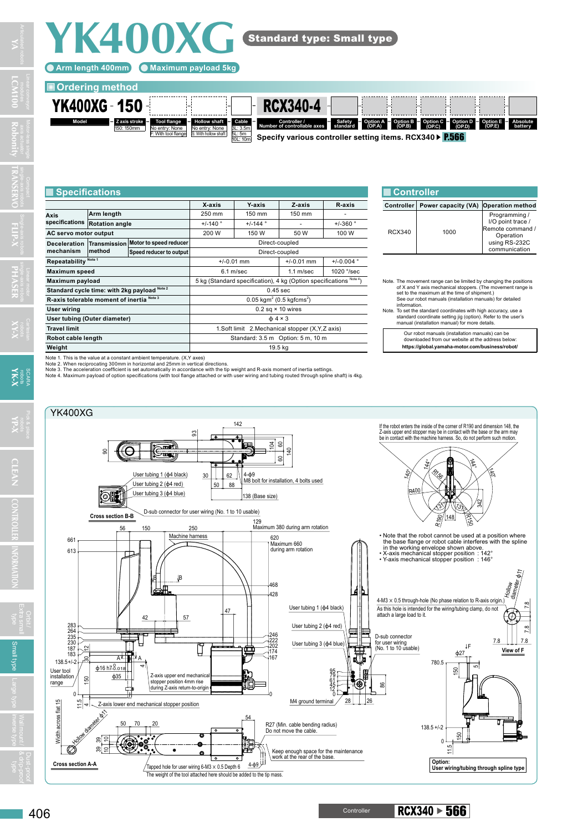

Standard type: Small type



## **X-axis Y-axis Z-axis R-axis Axis specifications Rotation angle** +/-140 ° +/-144 ° - +/-360 ° **Arm length**  250 mm 150 mm 150 mm **AC servo motor output 1200 W 150 W 150 W 100 W Deceleration Transmission mechanism method Motor to speed reducer Direct-coupled Speed reducer to output** Direct-coupled **Repeatability Note 1** +/-0.01 mm +/-0.01 mm +/-0.004 ° **Maximum speed 6.1 m/sec 1.1 m/sec 1020 °/sec Maximum payload** 5 kg (Standard specification), 4 kg (Option specifications **Standard cycle time: with 2kg payload Note 2** 0.45 sec **R-axis tolerable moment of inertia Note 3**  $(0.5 \text{ kgf} \text{cm} \text{s}^2)$ **User wiring**   $0.2$  sq × 10 wires<br> **User tubing (Outer diameter)**  $0.2$  sq × 10 wires<br>  $0.4 \times 3$ **User tubing (Outer diameter)**<br>Travel limit **Travel 1.Soft limit** 2.Mechanical stopper (X,Y,Z axis) **Robot cable length Robot cable length Standard: 3.5 m** Option: 5 m, 10 m **Specifications**

Note 3. The acceleration coefficient is set automatically in accordance with the tip weight and R-axis moment of inertia settings.<br>Note 4. Maximum payload of option specifications (with tool flange attached or with user wi

**Weight** 19.5 kg

Note 1. This is the value at a constant ambient temperature. (X,Y axes) Note 2. When reciprocating 300mm in horizontal and 25mm in vertical directions.

| ■ Controller |                     |                                                                                                       |
|--------------|---------------------|-------------------------------------------------------------------------------------------------------|
| Controller   | Power capacity (VA) | <b>Operation method</b>                                                                               |
| RCX340       | 1000                | Programming /<br>I/O point trace /<br>Remote command /<br>Operation<br>using RS-232C<br>communication |

Note. The movement range can be limited by changing the positions of X and Y axis mechanical stoppers. (The movement range is

set to the maximum at the time of shipment.)<br>See our robot manuals (installation manuals) for detailed<br>information.<br>Mote. To set the standard coordinates with high accuracy, use a<br>standard coordinate setting jig (option).

Our robot manuals (installation manuals) can be downloaded from our website at the address below:

**https://global.yamaha-motor.com/business/robot/**

 $\text{Controller}$  RCX340  $\triangleright$  566



**LCM100 TRANSERVO Robonity FLIP-X**

**YA**